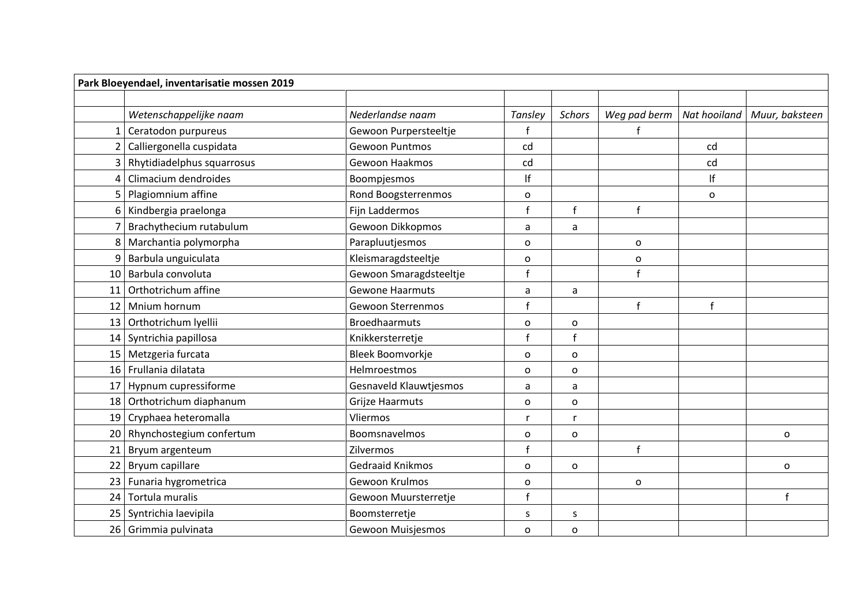| Park Bloeyendael, inventarisatie mossen 2019 |                             |                            |              |               |              |              |                |  |  |  |
|----------------------------------------------|-----------------------------|----------------------------|--------------|---------------|--------------|--------------|----------------|--|--|--|
|                                              |                             |                            |              |               |              |              |                |  |  |  |
|                                              | Wetenschappelijke naam      | Nederlandse naam           | Tansley      | <b>Schors</b> | Weg pad berm | Nat hooiland | Muur, baksteen |  |  |  |
|                                              | Ceratodon purpureus         | Gewoon Purpersteeltje<br>f |              |               |              |              |                |  |  |  |
| $\overline{2}$                               | Calliergonella cuspidata    | Gewoon Puntmos             | cd<br>cd     |               |              |              |                |  |  |  |
|                                              | Rhytidiadelphus squarrosus  | Gewoon Haakmos             | cd           |               | cd           |              |                |  |  |  |
| 4                                            | Climacium dendroides        | Boompjesmos                | If           |               |              | lf           |                |  |  |  |
| 5                                            | Plagiomnium affine          | Rond Boogsterrenmos        | $\mathbf{o}$ |               |              | o            |                |  |  |  |
| 6                                            | Kindbergia praelonga        | Fijn Laddermos             | f            | $\mathsf{f}$  | $\mathbf{f}$ |              |                |  |  |  |
| 7                                            | Brachythecium rutabulum     | Gewoon Dikkopmos           | a            | a             |              |              |                |  |  |  |
|                                              | 8 Marchantia polymorpha     | Parapluutjesmos            | O            |               | 0            |              |                |  |  |  |
| 9                                            | Barbula unguiculata         | Kleismaragdsteeltje        | $\mathsf{o}$ |               | 0            |              |                |  |  |  |
|                                              | 10 Barbula convoluta        | Gewoon Smaragdsteeltje     | f            |               | $\mathbf{f}$ |              |                |  |  |  |
| 11                                           | Orthotrichum affine         | <b>Gewone Haarmuts</b>     | a            | a             |              |              |                |  |  |  |
| 12                                           | Mnium hornum                | <b>Gewoon Sterrenmos</b>   | $\mathbf{f}$ |               | $\mathbf{f}$ | f            |                |  |  |  |
| 13 <sup>1</sup>                              | Orthotrichum lyellii        | <b>Broedhaarmuts</b>       | $\mathbf{o}$ | O             |              |              |                |  |  |  |
|                                              | 14 Syntrichia papillosa     | Knikkersterretje           | f            | $\mathsf{f}$  |              |              |                |  |  |  |
|                                              | 15 Metzgeria furcata        | Bleek Boomvorkje           | O            | o             |              |              |                |  |  |  |
|                                              | 16 Frullania dilatata       | Helmroestmos               | O            | $\circ$       |              |              |                |  |  |  |
|                                              | 17 Hypnum cupressiforme     | Gesnaveld Klauwtjesmos     | a            | a             |              |              |                |  |  |  |
|                                              | 18 Orthotrichum diaphanum   | Grijze Haarmuts            | $\mathsf{o}$ | $\mathsf{o}$  |              |              |                |  |  |  |
|                                              | 19 Cryphaea heteromalla     | Vliermos                   | r            | r             |              |              |                |  |  |  |
|                                              | 20 Rhynchostegium confertum | Boomsnavelmos              | O            | O             |              |              | $\mathbf 0$    |  |  |  |
|                                              | 21 Bryum argenteum          | Zilvermos                  | $\mathbf{f}$ |               | $\mathbf{f}$ |              |                |  |  |  |
|                                              | 22 Bryum capillare          | <b>Gedraaid Knikmos</b>    | $\circ$      | $\mathsf{o}$  |              |              | $\mathbf 0$    |  |  |  |
|                                              | 23 Funaria hygrometrica     | Gewoon Krulmos             | O            |               | 0            |              |                |  |  |  |
|                                              | 24 Tortula muralis          | Gewoon Muursterretje       | $\mathbf{f}$ |               |              |              | $\mathsf{f}$   |  |  |  |
|                                              | 25   Syntrichia laevipila   | Boomsterretje              | S            | S             |              |              |                |  |  |  |
|                                              | 26 Grimmia pulvinata        | <b>Gewoon Muisjesmos</b>   | $\mathbf 0$  | o             |              |              |                |  |  |  |